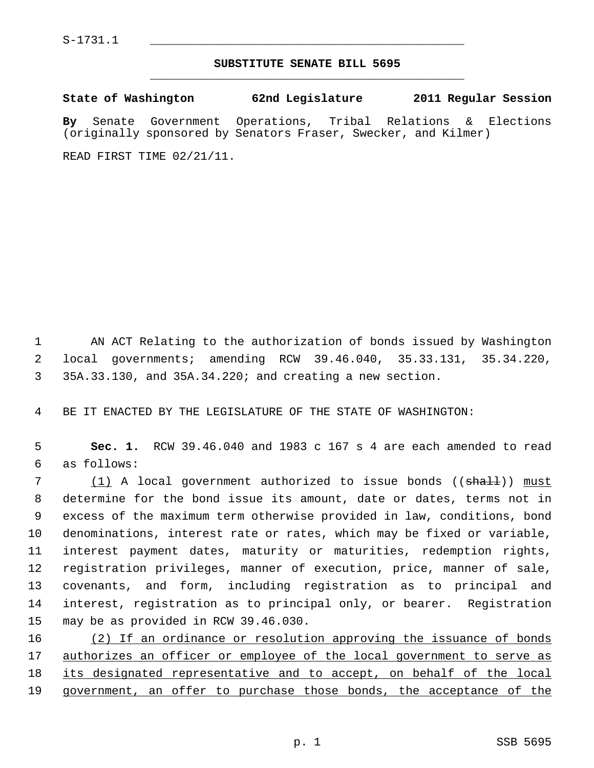## **SUBSTITUTE SENATE BILL 5695** \_\_\_\_\_\_\_\_\_\_\_\_\_\_\_\_\_\_\_\_\_\_\_\_\_\_\_\_\_\_\_\_\_\_\_\_\_\_\_\_\_\_\_\_\_

**State of Washington 62nd Legislature 2011 Regular Session By** Senate Government Operations, Tribal Relations & Elections (originally sponsored by Senators Fraser, Swecker, and Kilmer)

READ FIRST TIME 02/21/11.

 1 AN ACT Relating to the authorization of bonds issued by Washington 2 local governments; amending RCW 39.46.040, 35.33.131, 35.34.220, 3 35A.33.130, and 35A.34.220; and creating a new section.

4 BE IT ENACTED BY THE LEGISLATURE OF THE STATE OF WASHINGTON:

 5 **Sec. 1.** RCW 39.46.040 and 1983 c 167 s 4 are each amended to read 6 as follows:

7 (1) A local government authorized to issue bonds (( $\frac{1}{2}$ )) must 8 determine for the bond issue its amount, date or dates, terms not in 9 excess of the maximum term otherwise provided in law, conditions, bond 10 denominations, interest rate or rates, which may be fixed or variable, 11 interest payment dates, maturity or maturities, redemption rights, 12 registration privileges, manner of execution, price, manner of sale, 13 covenants, and form, including registration as to principal and 14 interest, registration as to principal only, or bearer. Registration 15 may be as provided in RCW 39.46.030.

16 (2) If an ordinance or resolution approving the issuance of bonds 17 authorizes an officer or employee of the local government to serve as 18 its designated representative and to accept, on behalf of the local 19 government, an offer to purchase those bonds, the acceptance of the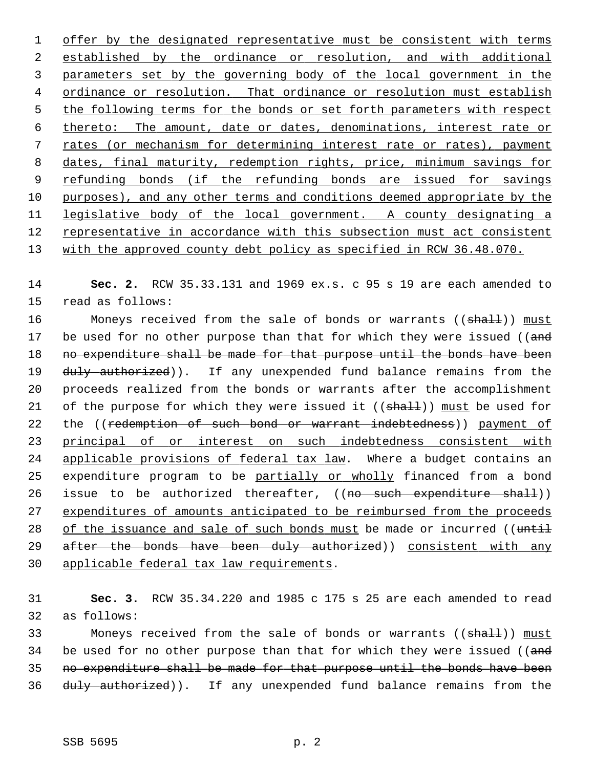offer by the designated representative must be consistent with terms established by the ordinance or resolution, and with additional parameters set by the governing body of the local government in the 4 ordinance or resolution. That ordinance or resolution must establish the following terms for the bonds or set forth parameters with respect thereto: The amount, date or dates, denominations, interest rate or rates (or mechanism for determining interest rate or rates), payment dates, final maturity, redemption rights, price, minimum savings for refunding bonds (if the refunding bonds are issued for savings purposes), and any other terms and conditions deemed appropriate by the legislative body of the local government. A county designating a representative in accordance with this subsection must act consistent with the approved county debt policy as specified in RCW 36.48.070.

14 **Sec. 2.** RCW 35.33.131 and 1969 ex.s. c 95 s 19 are each amended to 15 read as follows:

16 Moneys received from the sale of bonds or warrants ((shall)) must 17 be used for no other purpose than that for which they were issued ((and 18 no expenditure shall be made for that purpose until the bonds have been 19 duly authorized)). If any unexpended fund balance remains from the 20 proceeds realized from the bonds or warrants after the accomplishment 21 of the purpose for which they were issued it  $((shalt))$  must be used for 22 the ((redemption of such bond or warrant indebtedness)) payment of 23 principal of or interest on such indebtedness consistent with 24 applicable provisions of federal tax law. Where a budget contains an 25 expenditure program to be partially or wholly financed from a bond 26 issue to be authorized thereafter, ((no such expenditure shall)) 27 expenditures of amounts anticipated to be reimbursed from the proceeds 28 of the issuance and sale of such bonds must be made or incurred (( $t$ ntil 29 after the bonds have been duly authorized)) consistent with any 30 applicable federal tax law requirements.

31 **Sec. 3.** RCW 35.34.220 and 1985 c 175 s 25 are each amended to read 32 as follows:

33 Moneys received from the sale of bonds or warrants ((shall)) must 34 be used for no other purpose than that for which they were issued (( $\alpha$ nd 35 no expenditure shall be made for that purpose until the bonds have been 36 duly authorized)). If any unexpended fund balance remains from the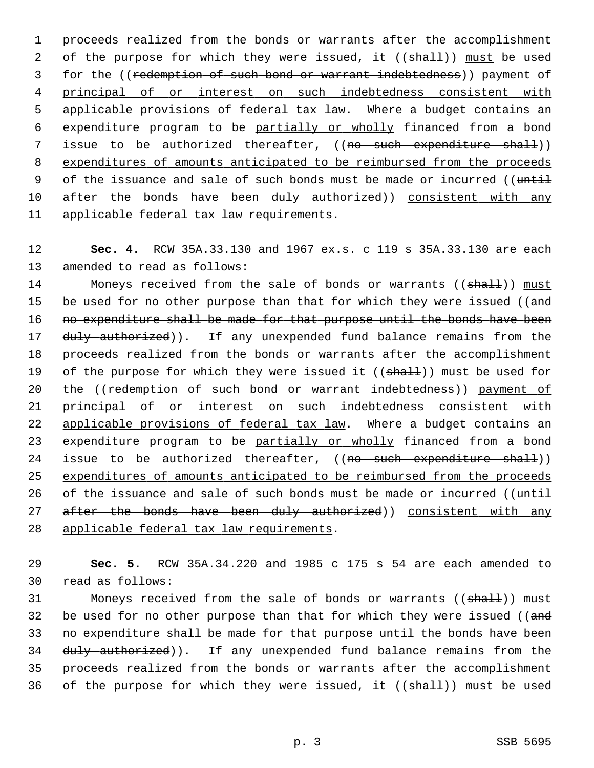1 proceeds realized from the bonds or warrants after the accomplishment 2 of the purpose for which they were issued, it ((shall)) must be used 3 for the ((redemption of such bond or warrant indebtedness)) payment of 4 principal of or interest on such indebtedness consistent with 5 applicable provisions of federal tax law. Where a budget contains an 6 expenditure program to be partially or wholly financed from a bond 7 issue to be authorized thereafter, ((no such expenditure shall)) 8 expenditures of amounts anticipated to be reimbursed from the proceeds 9 of the issuance and sale of such bonds must be made or incurred ((until 10 after the bonds have been duly authorized)) consistent with any 11 applicable federal tax law requirements.

12 **Sec. 4.** RCW 35A.33.130 and 1967 ex.s. c 119 s 35A.33.130 are each 13 amended to read as follows:

14 Moneys received from the sale of bonds or warrants ((shall)) must 15 be used for no other purpose than that for which they were issued ((and 16 no expenditure shall be made for that purpose until the bonds have been 17 duly authorized)). If any unexpended fund balance remains from the 18 proceeds realized from the bonds or warrants after the accomplishment 19 of the purpose for which they were issued it  $((shall))$  must be used for 20 the ((redemption of such bond or warrant indebtedness)) payment of 21 principal of or interest on such indebtedness consistent with 22 applicable provisions of federal tax law. Where a budget contains an 23 expenditure program to be partially or wholly financed from a bond 24 issue to be authorized thereafter, ((no such expenditure shall)) 25 expenditures of amounts anticipated to be reimbursed from the proceeds 26 of the issuance and sale of such bonds must be made or incurred (( $t$ ntil 27 after the bonds have been duly authorized)) consistent with any 28 applicable federal tax law requirements.

29 **Sec. 5.** RCW 35A.34.220 and 1985 c 175 s 54 are each amended to 30 read as follows:

31 Moneys received from the sale of bonds or warrants ((shall)) must 32 be used for no other purpose than that for which they were issued (( $\alpha$ nd 33 no expenditure shall be made for that purpose until the bonds have been 34 duly authorized)). If any unexpended fund balance remains from the 35 proceeds realized from the bonds or warrants after the accomplishment 36 of the purpose for which they were issued, it  $((shath))$  must be used